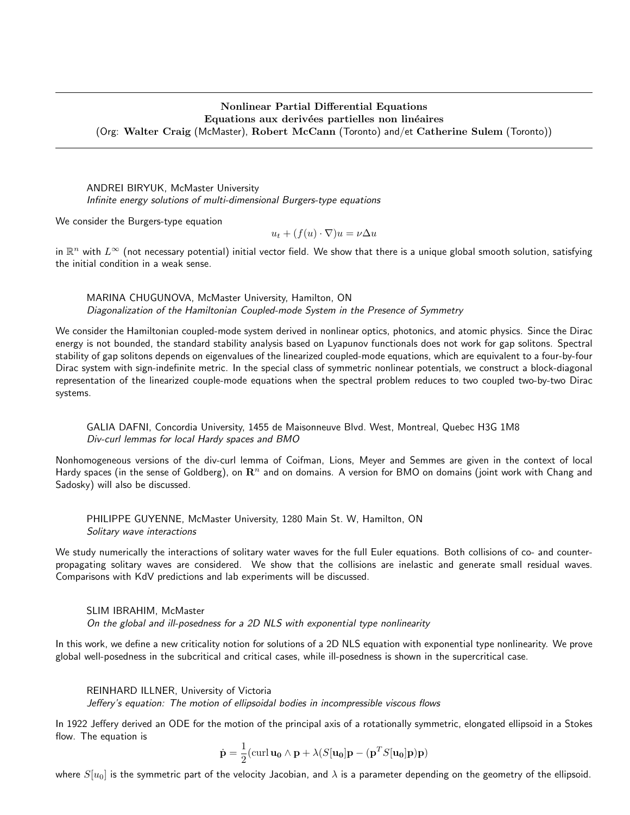## Nonlinear Partial Differential Equations Equations aux derivées partielles non linéaires (Org: Walter Craig (McMaster), Robert McCann (Toronto) and/et Catherine Sulem (Toronto))

ANDREI BIRYUK, McMaster University Infinite energy solutions of multi-dimensional Burgers-type equations

We consider the Burgers-type equation

$$
u_t + (f(u) \cdot \nabla)u = \nu \Delta u
$$

in  $\R^n$  with  $L^\infty$  (not necessary potential) initial vector field. We show that there is a unique global smooth solution, satisfying the initial condition in a weak sense.

MARINA CHUGUNOVA, McMaster University, Hamilton, ON Diagonalization of the Hamiltonian Coupled-mode System in the Presence of Symmetry

We consider the Hamiltonian coupled-mode system derived in nonlinear optics, photonics, and atomic physics. Since the Dirac energy is not bounded, the standard stability analysis based on Lyapunov functionals does not work for gap solitons. Spectral stability of gap solitons depends on eigenvalues of the linearized coupled-mode equations, which are equivalent to a four-by-four Dirac system with sign-indefinite metric. In the special class of symmetric nonlinear potentials, we construct a block-diagonal representation of the linearized couple-mode equations when the spectral problem reduces to two coupled two-by-two Dirac systems.

GALIA DAFNI, Concordia University, 1455 de Maisonneuve Blvd. West, Montreal, Quebec H3G 1M8 Div-curl lemmas for local Hardy spaces and BMO

Nonhomogeneous versions of the div-curl lemma of Coifman, Lions, Meyer and Semmes are given in the context of local Hardy spaces (in the sense of Goldberg), on  $\mathbb{R}^n$  and on domains. A version for BMO on domains (joint work with Chang and Sadosky) will also be discussed.

PHILIPPE GUYENNE, McMaster University, 1280 Main St. W, Hamilton, ON Solitary wave interactions

We study numerically the interactions of solitary water waves for the full Euler equations. Both collisions of co- and counterpropagating solitary waves are considered. We show that the collisions are inelastic and generate small residual waves. Comparisons with KdV predictions and lab experiments will be discussed.

SLIM IBRAHIM, McMaster On the global and ill-posedness for a 2D NLS with exponential type nonlinearity

In this work, we define a new criticality notion for solutions of a 2D NLS equation with exponential type nonlinearity. We prove global well-posedness in the subcritical and critical cases, while ill-posedness is shown in the supercritical case.

REINHARD ILLNER, University of Victoria

Jeffery's equation: The motion of ellipsoidal bodies in incompressible viscous flows

In 1922 Jeffery derived an ODE for the motion of the principal axis of a rotationally symmetric, elongated ellipsoid in a Stokes flow. The equation is

$$
\dot{\mathbf{p}} = \frac{1}{2} (\text{curl } \mathbf{u_0} \wedge \mathbf{p} + \lambda (S[\mathbf{u_0}]\mathbf{p} - (\mathbf{p}^T S[\mathbf{u_0}]\mathbf{p})\mathbf{p})
$$

where  $S[u_0]$  is the symmetric part of the velocity Jacobian, and  $\lambda$  is a parameter depending on the geometry of the ellipsoid.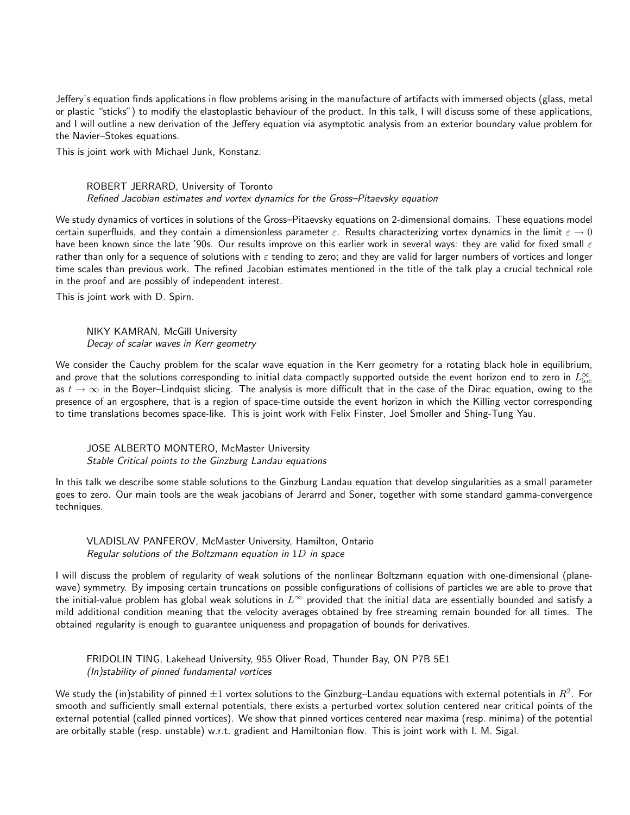Jeffery's equation finds applications in flow problems arising in the manufacture of artifacts with immersed objects (glass, metal or plastic "sticks") to modify the elastoplastic behaviour of the product. In this talk, I will discuss some of these applications, and I will outline a new derivation of the Jeffery equation via asymptotic analysis from an exterior boundary value problem for the Navier–Stokes equations.

This is joint work with Michael Junk, Konstanz.

## ROBERT JERRARD, University of Toronto Refined Jacobian estimates and vortex dynamics for the Gross–Pitaevsky equation

We study dynamics of vortices in solutions of the Gross–Pitaevsky equations on 2-dimensional domains. These equations model certain superfluids, and they contain a dimensionless parameter  $\varepsilon$ . Results characterizing vortex dynamics in the limit  $\varepsilon \to 0$ have been known since the late '90s. Our results improve on this earlier work in several ways: they are valid for fixed small  $\varepsilon$ rather than only for a sequence of solutions with  $\varepsilon$  tending to zero; and they are valid for larger numbers of vortices and longer time scales than previous work. The refined Jacobian estimates mentioned in the title of the talk play a crucial technical role in the proof and are possibly of independent interest.

This is joint work with D. Spirn.

NIKY KAMRAN, McGill University Decay of scalar waves in Kerr geometry

We consider the Cauchy problem for the scalar wave equation in the Kerr geometry for a rotating black hole in equilibrium, and prove that the solutions corresponding to initial data compactly supported outside the event horizon end to zero in  $L^\infty_{\rm loc}$ as  $t \to \infty$  in the Boyer–Lindquist slicing. The analysis is more difficult that in the case of the Dirac equation, owing to the presence of an ergosphere, that is a region of space-time outside the event horizon in which the Killing vector corresponding to time translations becomes space-like. This is joint work with Felix Finster, Joel Smoller and Shing-Tung Yau.

JOSE ALBERTO MONTERO, McMaster University Stable Critical points to the Ginzburg Landau equations

In this talk we describe some stable solutions to the Ginzburg Landau equation that develop singularities as a small parameter goes to zero. Our main tools are the weak jacobians of Jerarrd and Soner, together with some standard gamma-convergence techniques.

## VLADISLAV PANFEROV, McMaster University, Hamilton, Ontario Regular solutions of the Boltzmann equation in 1D in space

I will discuss the problem of regularity of weak solutions of the nonlinear Boltzmann equation with one-dimensional (planewave) symmetry. By imposing certain truncations on possible configurations of collisions of particles we are able to prove that the initial-value problem has global weak solutions in  $L^\infty$  provided that the initial data are essentially bounded and satisfy a mild additional condition meaning that the velocity averages obtained by free streaming remain bounded for all times. The obtained regularity is enough to guarantee uniqueness and propagation of bounds for derivatives.

FRIDOLIN TING, Lakehead University, 955 Oliver Road, Thunder Bay, ON P7B 5E1 (In)stability of pinned fundamental vortices

We study the (in)stability of pinned  $\pm 1$  vortex solutions to the Ginzburg–Landau equations with external potentials in  $R^2$ . For smooth and sufficiently small external potentials, there exists a perturbed vortex solution centered near critical points of the external potential (called pinned vortices). We show that pinned vortices centered near maxima (resp. minima) of the potential are orbitally stable (resp. unstable) w.r.t. gradient and Hamiltonian flow. This is joint work with I. M. Sigal.